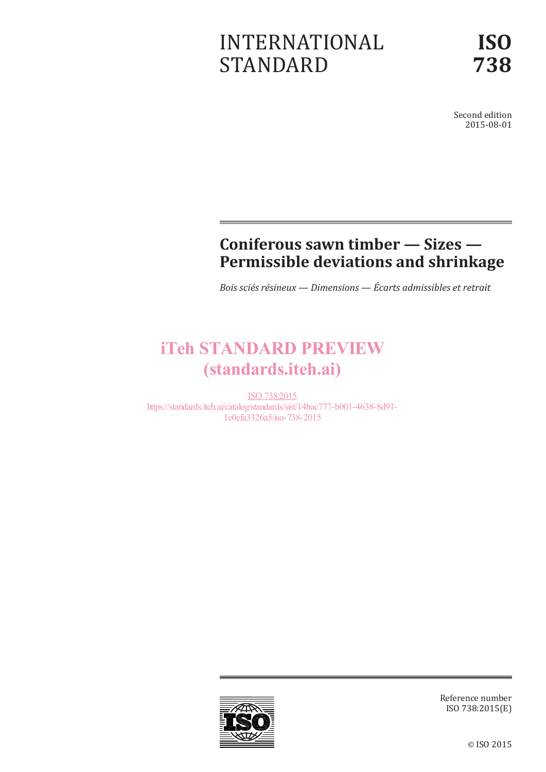# **INTERNATIONAL STANDARD**

Second edition 2015-08-01

### Coniferous sawn timber - Sizes -Permissible deviations and shrinkage

Bois sciés résineux — Dimensions — Écarts admissibles et retrait

# **iTeh STANDARD PREVIEW** (standards.iteh.ai)

ISO 738:2015 https://standards.iteh.ai/catalog/standards/sist/14bac777-b001-4638-8d91-1e0efa3326a5/iso-738-2015



Reference number ISO 738:2015(E)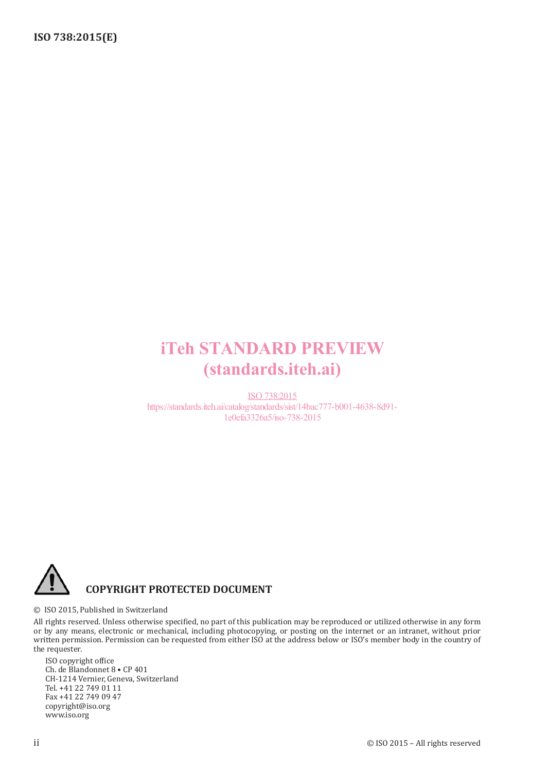## iTeh STANDARD PREVIEW (standards.iteh.ai)

ISO 738:2015 https://standards.iteh.ai/catalog/standards/sist/14bac777-b001-4638-8d91- 1e0efa3326a5/iso-738-2015



© ISO 2015, Published in Switzerland

All rights reserved. Unless otherwise specified, no part of this publication may be reproduced or utilized otherwise in any form or by any means, electronic or mechanical, including photocopying, or posting on the internet or an intranet, without prior written permission. Permission can be requested from either ISO at the address below or ISO's member body in the country of the requester.

ISO copyright office Ch. de Blandonnet 8 • CP 401 CH-1214 Vernier, Geneva, Switzerland Tel. +41 22 749 01 11 Fax +41 22 749 09 47 copyright@iso.org www.iso.org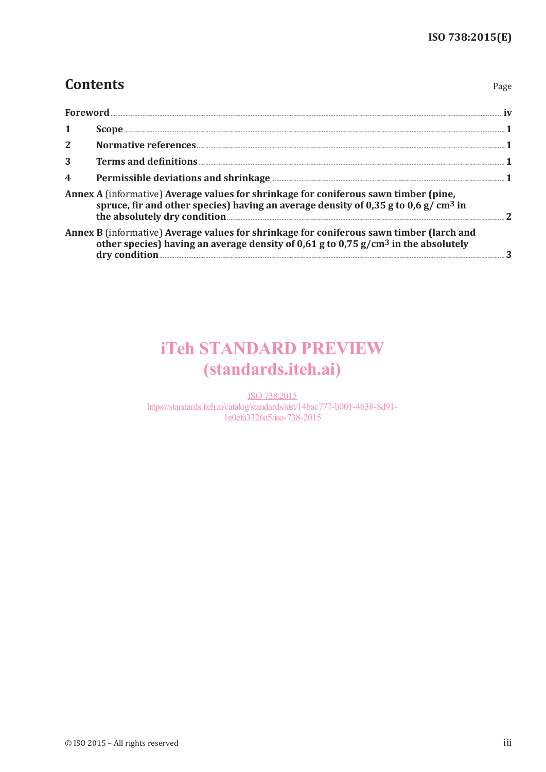Page

### **Contents**

| Foreword                |                                                                                                                                                                                            |  |
|-------------------------|--------------------------------------------------------------------------------------------------------------------------------------------------------------------------------------------|--|
|                         |                                                                                                                                                                                            |  |
| $\overline{2}$          |                                                                                                                                                                                            |  |
| 3                       |                                                                                                                                                                                            |  |
| $\overline{\mathbf{4}}$ |                                                                                                                                                                                            |  |
|                         | Annex A (informative) Average values for shrinkage for coniferous sawn timber (pine,<br>spruce, fir and other species) having an average density of 0.35 g to 0.6 g/cm <sup>3</sup> in     |  |
|                         | Annex B (informative) Average values for shrinkage for coniferous sawn timber (larch and<br>other species) having an average density of 0,61 g to 0,75 g/cm <sup>3</sup> in the absolutely |  |

## **iTeh STANDARD PREVIEW** (standards.iteh.ai)

ISO 738:2015 https://standards.iteh.ai/catalog/standards/sist/14bac777-b001-4638-8d91-1e0efa3326a5/iso-738-2015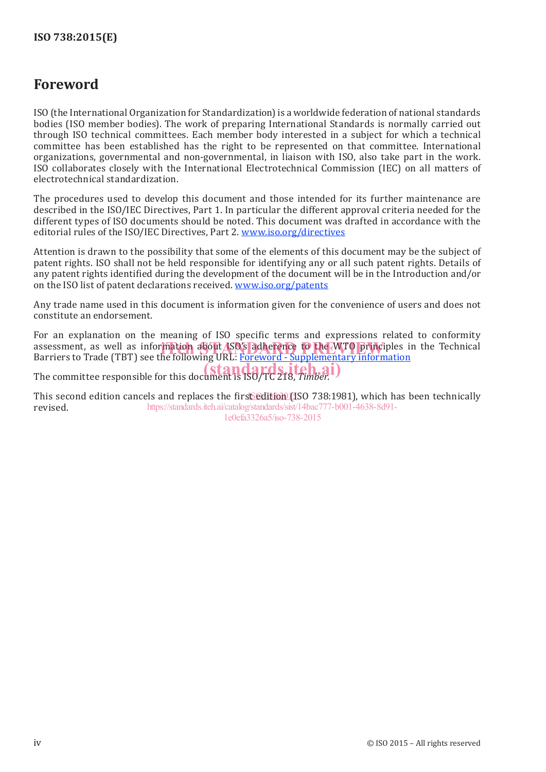### **Foreword**

ISO (the International Organization for Standardization) is a worldwide federation of national standards bodies (ISO member bodies). The work of preparing International Standards is normally carried out through ISO technical committees. Each member body interested in a subject for which a technical committee has been established has the right to be represented on that committee. International organizations, governmental and non-governmental, in liaison with ISO, also take part in the work. ISO collaborates closely with the International Electrotechnical Commission (IEC) on all matters of electrotechnical standardization.

The procedures used to develop this document and those intended for its further maintenance are described in the ISO/IEC Directives, Part 1. In particular the different approval criteria needed for the different types of ISO documents should be noted. This document was drafted in accordance with the editorial rules of the ISO/IEC Directives, Part 2. www.iso.org/directives

Attention is drawn to the possibility that some of the elements of this document may be the subject of patent rights. ISO shall not be held responsible for identifying any or all such patent rights. Details of any patent rights identified during the development of the document will be in the Introduction and/or on the ISO list of patent declarations received. www.iso.org/patents

Any trade name used in this document is information given for the convenience of users and does not constitute an endorsement.

For an explanation on the meaning of ISO specific terms and expressions related to conformity assessment, as well as information about ISO's adherence to the WTO principles in the Technical<br>Barriers to Trade (TBT) see the following URL: Foreword - Supplementary information Barriers to Trade (TBT) see the following URL: Foreword - Supplementary information

The committee responsible for this document is ISO/TC 218, *Timber*.

This second edition cancels and replaces the first edition (1SO 738:1981), which has been technically revised. https://standards.iteh.ai/catalog/standards/sist/14bac777-b001-4638-8d91- 1e0efa3326a5/iso-738-2015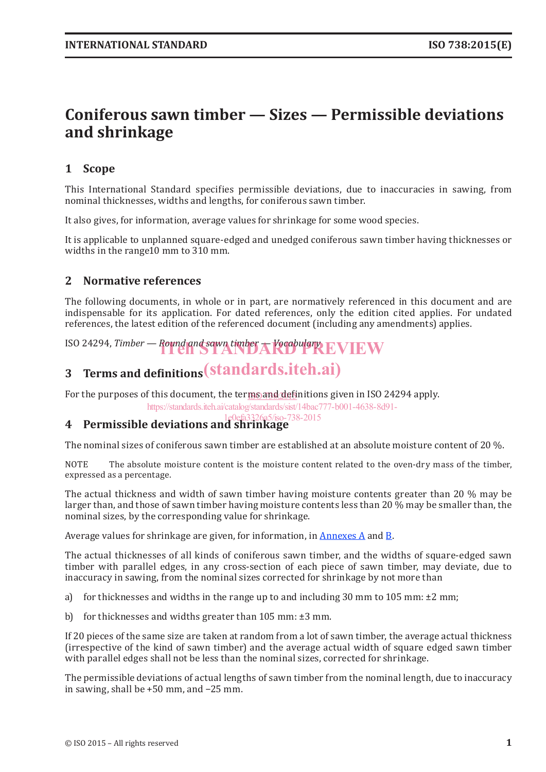### **Coniferous sawn timber — Sizes — Permissible deviations and shrinkage**

#### **1 Scope**

This International Standard specifies permissible deviations, due to inaccuracies in sawing, from nominal thicknesses, widths and lengths, for coniferous sawn timber.

It also gives, for information, average values for shrinkage for some wood species.

It is applicable to unplanned square-edged and unedged coniferous sawn timber having thicknesses or widths in the range10 mm to 310 mm.

#### **2 Normative references**

The following documents, in whole or in part, are normatively referenced in this document and are indispensable for its application. For dated references, only the edition cited applies. For undated references, the latest edition of the referenced document (including any amendments) applies.

**ISO 24294, Timber — Round and sawn timber**  $\rightarrow$  **Vocabulary EVIEW** 

## **3 Terms and definitions** (standards.iteh.ai)

For the purposes of this document, the ter<u>ms and defi</u>nitions given in ISO 24294 apply.

https://standards.iteh.ai/catalog/standards/sist/14bac777-b001-4638-8d91-

### **4 Permissible deviations and shrinkage** 1e0efa3326a5/iso-738-2015

The nominal sizes of coniferous sawn timber are established at an absolute moisture content of 20 %.

NOTE The absolute moisture content is the moisture content related to the oven-dry mass of the timber, expressed as a percentage.

The actual thickness and width of sawn timber having moisture contents greater than 20 % may be larger than, and those of sawn timber having moisture contents less than 20 % may be smaller than, the nominal sizes, by the corresponding value for shrinkage.

Average values for shrinkage are given, for information, in Annexes A and B.

The actual thicknesses of all kinds of coniferous sawn timber, and the widths of square-edged sawn timber with parallel edges, in any cross-section of each piece of sawn timber, may deviate, due to inaccuracy in sawing, from the nominal sizes corrected for shrinkage by not more than

a) for thicknesses and widths in the range up to and including 30 mm to 105 mm:  $\pm 2$  mm;

b) for thicknesses and widths greater than 105 mm: ±3 mm.

If 20 pieces of the same size are taken at random from a lot of sawn timber, the average actual thickness (irrespective of the kind of sawn timber) and the average actual width of square edged sawn timber with parallel edges shall not be less than the nominal sizes, corrected for shrinkage.

The permissible deviations of actual lengths of sawn timber from the nominal length, due to inaccuracy in sawing, shall be +50 mm, and −25 mm.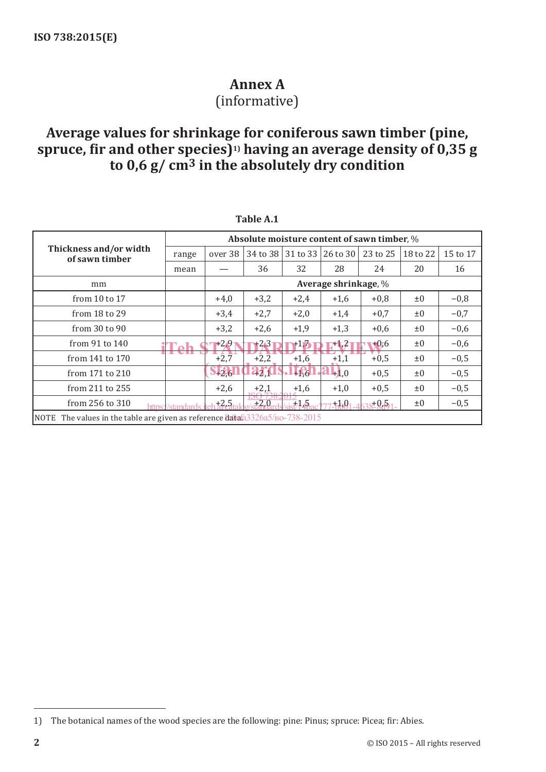#### **Annex A**

#### (informative)

#### **Average values for shrinkage for coniferous sawn timber (pine, spruce, fir and other species)1) having an average density of 0,35 g to 0,6 g/ cm3 in the absolutely dry condition**

|                                                                               | Absolute moisture content of sawn timber, % |                               |           |                                   |           |            |          |          |  |
|-------------------------------------------------------------------------------|---------------------------------------------|-------------------------------|-----------|-----------------------------------|-----------|------------|----------|----------|--|
| Thickness and/or width<br>of sawn timber                                      | range                                       | over 38                       |           | 34 to 38 31 to 33 26 to 30        |           | 23 to 25   | 18 to 22 | 15 to 17 |  |
|                                                                               | mean                                        |                               | 36        | 32                                | 28        | 24         | 20       | 16       |  |
| mm                                                                            |                                             | Average shrinkage, %          |           |                                   |           |            |          |          |  |
| from $10$ to $17$                                                             |                                             | $+4,0$                        | $+3,2$    | $+2,4$                            | $+1,6$    | $+0,8$     | $\pm 0$  | $-0,8$   |  |
| from $18$ to $29$                                                             |                                             | $+3,4$                        | $+2,7$    | $+2,0$                            | $+1,4$    | $+0,7$     | $\pm 0$  | $-0,7$   |  |
| from $30$ to $90$                                                             |                                             | $+3,2$                        | $+2,6$    | $+1,9$                            | $+1,3$    | $+0,6$     | $\pm 0$  | $-0,6$   |  |
| from 91 to 140                                                                |                                             | $\blacksquare$ +2,9           | $+2,3$    | $+177$                            | 71.21     | $+0,6$     | $\pm 0$  | $-0,6$   |  |
| from 141 to 170                                                               |                                             | $+2,7$                        | $+2,2$    | $+1,6$                            | $+1,1$    | $+0,5$     | $\pm 0$  | $-0,5$   |  |
| from 171 to 210                                                               |                                             | $\mathrm{SL}_2$ $\mathrm{Cl}$ | 21.O      | II <sub>fa</sub> n.               | $a_{1,0}$ | $+0,5$     | $\pm 0$  | $-0,5$   |  |
| from 211 to 255                                                               |                                             | $+2,6$                        | $+2,1$    | $+1,6$                            | $+1,0$    | $+0,5$     | $\pm 0$  | $-0,5$   |  |
| from 256 to 310                                                               | httns://standard                            | $+2.5$                        | $\pm 2.0$ | $\overline{t}$ $1$ $\overline{b}$ | $H_0$     | $8 + 0.51$ | $\pm 0$  | $-0,5$   |  |
| NOTE The values in the table are given as reference data a3326a5/iso-738-2015 |                                             |                               |           |                                   |           |            |          |          |  |

**Table A.1**

<sup>1)</sup> The botanical names of the wood species are the following: pine: Pinus; spruce: Picea; fir: Abies.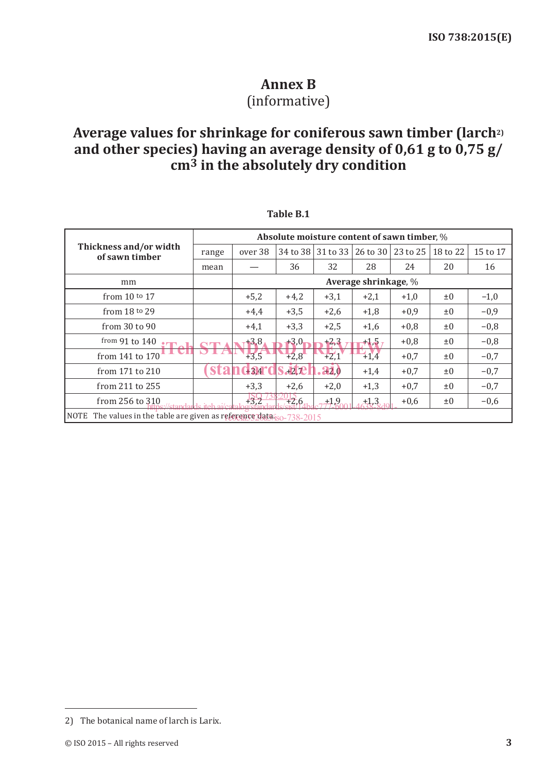# **Annex B**

### (informative)

### **Average values for shrinkage for coniferous sawn timber (larch2) and other species) having an average density of 0,61 g to 0,75 g/ cm3 in the absolutely dry condition**

|                                                                                    | Absolute moisture content of sawn timber, % |                      |                                        |                   |          |          |          |          |  |
|------------------------------------------------------------------------------------|---------------------------------------------|----------------------|----------------------------------------|-------------------|----------|----------|----------|----------|--|
| Thickness and/or width<br>of sawn timber                                           | range                                       | over 38              |                                        | 34 to 38 31 to 33 | 26 to 30 | 23 to 25 | 18 to 22 | 15 to 17 |  |
|                                                                                    | mean                                        |                      | 36                                     | 32                | 28       | 24       | 20       | 16       |  |
| mm                                                                                 |                                             | Average shrinkage, % |                                        |                   |          |          |          |          |  |
| from 10 to 17                                                                      |                                             | $+5,2$               | $+4,2$                                 | $+3,1$            | $+2,1$   | $+1,0$   | $\pm 0$  | $-1,0$   |  |
| from 18 to 29                                                                      |                                             | $+4,4$               | $+3,5$                                 | $+2,6$            | $+1,8$   | $+0,9$   | $\pm 0$  | $-0,9$   |  |
| from 30 to 90                                                                      |                                             | $+4,1$               | $+3,3$                                 | $+2,5$            | $+1,6$   | $+0,8$   | ±0       | $-0,8$   |  |
| from 91 to 140                                                                     |                                             | $+3,8$               | $+3,0$                                 | $+2,3$            | $+1.5,$  | $+0,8$   | ±0       | $-0,8$   |  |
| from 141 to 170                                                                    |                                             | $+3,5$               | $+2,8$                                 | $+2,1$            | $+1.4$   | $+0,7$   | ±0       | $-0,7$   |  |
| from 171 to 210                                                                    | stal                                        | <b>1 C+3,4r</b>      | $\mathcal{A}2\mathcal{A}2\mathcal{A}3$ |                   | $+1,4$   | $+0,7$   | $\pm 0$  | $-0,7$   |  |
| from 211 to 255                                                                    |                                             | $+3,3$               | $+2,6$                                 | $+2,0$            | $+1,3$   | $+0,7$   | $\pm 0$  | $-0,7$   |  |
| from 256 to $310$                                                                  |                                             | $\pm 3.2$            | $\frac{1}{12}$ ,6                      | $+1.9$            | $+1,3$   | $+0,6$   | $\pm 0$  | $-0,6$   |  |
| NOTE The values in the table are given as reference data $\frac{1}{180}$ -738-2015 |                                             |                      |                                        |                   |          |          |          |          |  |

#### **Table B.1**

<sup>2)</sup> The botanical name of larch is Larix.